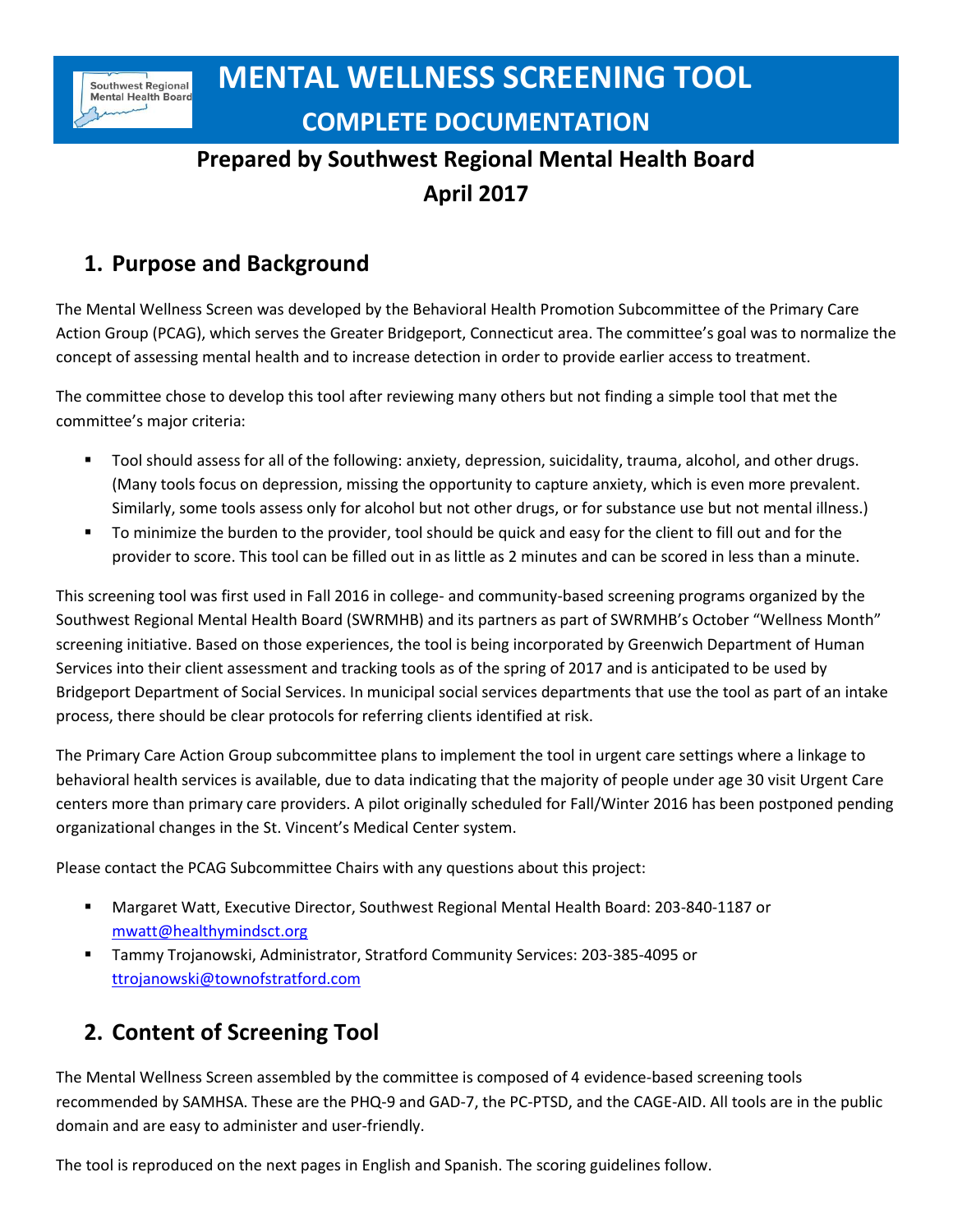# **Prepared by Southwest Regional Mental Health Board April 2017**

## **1. Purpose and Background**

The Mental Wellness Screen was developed by the Behavioral Health Promotion Subcommittee of the Primary Care Action Group (PCAG), which serves the Greater Bridgeport, Connecticut area. The committee's goal was to normalize the concept of assessing mental health and to increase detection in order to provide earlier access to treatment.

The committee chose to develop this tool after reviewing many others but not finding a simple tool that met the committee's major criteria:

- Tool should assess for all of the following: anxiety, depression, suicidality, trauma, alcohol, and other drugs. (Many tools focus on depression, missing the opportunity to capture anxiety, which is even more prevalent. Similarly, some tools assess only for alcohol but not other drugs, or for substance use but not mental illness.)
- To minimize the burden to the provider, tool should be quick and easy for the client to fill out and for the provider to score. This tool can be filled out in as little as 2 minutes and can be scored in less than a minute.

This screening tool was first used in Fall 2016 in college- and community-based screening programs organized by the Southwest Regional Mental Health Board (SWRMHB) and its partners as part of SWRMHB's October "Wellness Month" screening initiative. Based on those experiences, the tool is being incorporated by Greenwich Department of Human Services into their client assessment and tracking tools as of the spring of 2017 and is anticipated to be used by Bridgeport Department of Social Services. In municipal social services departments that use the tool as part of an intake process, there should be clear protocols for referring clients identified at risk.

The Primary Care Action Group subcommittee plans to implement the tool in urgent care settings where a linkage to behavioral health services is available, due to data indicating that the majority of people under age 30 visit Urgent Care centers more than primary care providers. A pilot originally scheduled for Fall/Winter 2016 has been postponed pending organizational changes in the St. Vincent's Medical Center system.

Please contact the PCAG Subcommittee Chairs with any questions about this project:

- Margaret Watt, Executive Director, Southwest Regional Mental Health Board: 203-840-1187 or [mwatt@healthymindsct.org](mailto:mwatt@healthymindsct.org)
- Tammy Trojanowski, Administrator, Stratford Community Services: 203-385-4095 or [ttrojanowski@townofstratford.com](mailto:ttrojanowski@townofstratford.com)

# **2. Content of Screening Tool**

The Mental Wellness Screen assembled by the committee is composed of 4 evidence-based screening tools recommended by SAMHSA. These are the PHQ-9 and GAD-7, the PC-PTSD, and the CAGE-AID. All tools are in the public domain and are easy to administer and user-friendly.

The tool is reproduced on the next pages in English and Spanish. The scoring guidelines follow.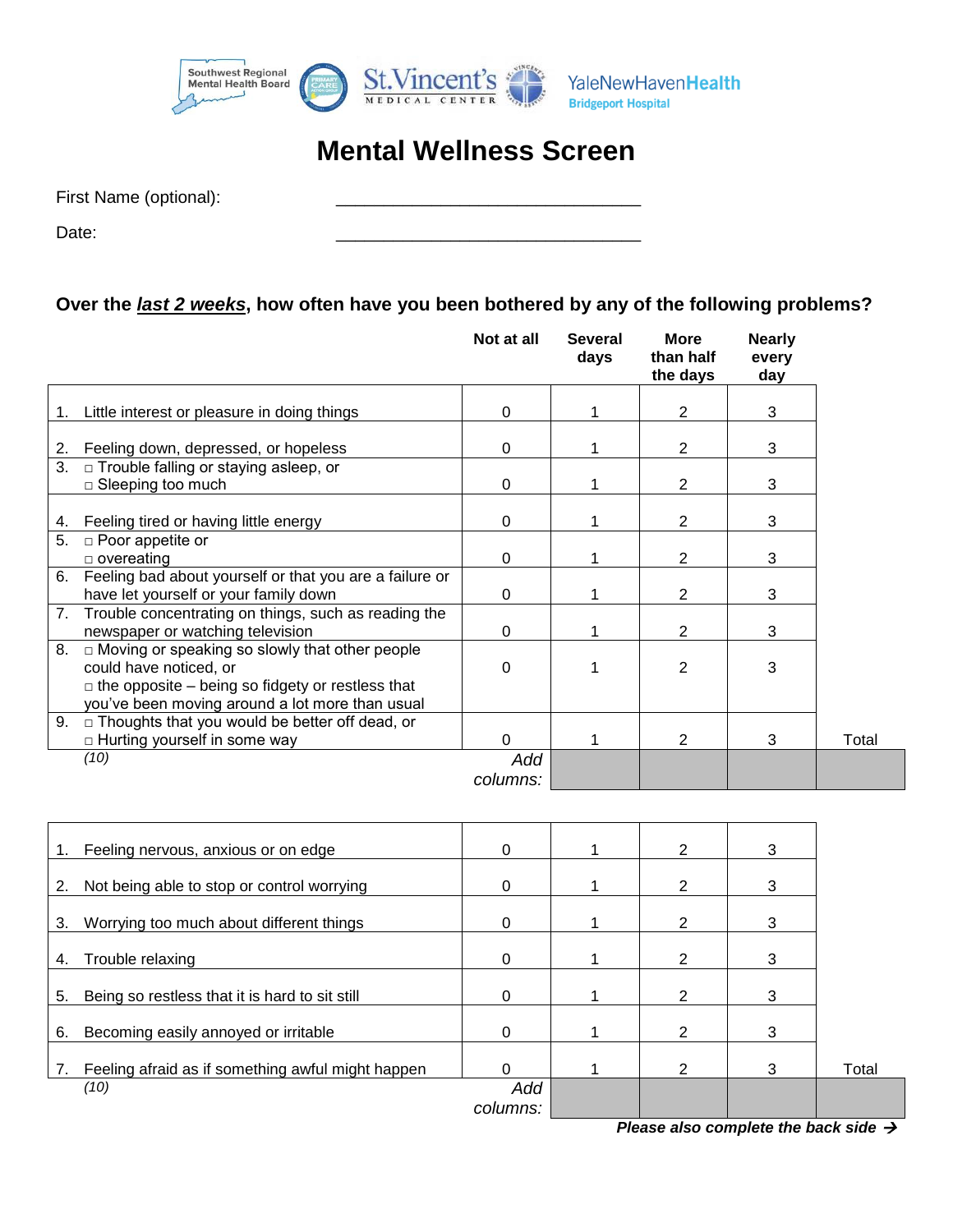

# **Mental Wellness Screen**

Date: \_\_\_\_\_\_\_\_\_\_\_\_\_\_\_\_\_\_\_\_\_\_\_\_\_\_\_\_\_\_\_\_

#### **Over the** *last 2 weeks***, how often have you been bothered by any of the following problems?**

|    |                                                                                                                                                                                               | Not at all      | <b>Several</b><br>days | <b>More</b><br>than half<br>the days | <b>Nearly</b><br>every<br>day |       |
|----|-----------------------------------------------------------------------------------------------------------------------------------------------------------------------------------------------|-----------------|------------------------|--------------------------------------|-------------------------------|-------|
| 1. | Little interest or pleasure in doing things                                                                                                                                                   | 0               |                        | $\overline{2}$                       | 3                             |       |
| 2. | Feeling down, depressed, or hopeless                                                                                                                                                          | $\Omega$        |                        | 2                                    | 3                             |       |
| 3. | $\Box$ Trouble falling or staying asleep, or<br>$\square$ Sleeping too much                                                                                                                   | 0               |                        | 2                                    | 3                             |       |
| 4. | Feeling tired or having little energy                                                                                                                                                         | $\Omega$        |                        | 2                                    | 3                             |       |
| 5. | $\square$ Poor appetite or<br>$\Box$ overeating                                                                                                                                               | $\Omega$        |                        | 2                                    | 3                             |       |
| 6. | Feeling bad about yourself or that you are a failure or<br>have let yourself or your family down                                                                                              | 0               |                        | 2                                    | 3                             |       |
| 7. | Trouble concentrating on things, such as reading the<br>newspaper or watching television                                                                                                      | 0               |                        | 2                                    | 3                             |       |
| 8. | $\Box$ Moving or speaking so slowly that other people<br>could have noticed, or<br>$\Box$ the opposite – being so fidgety or restless that<br>you've been moving around a lot more than usual | $\Omega$        |                        | 2                                    | 3                             |       |
|    | 9. $\Box$ Thoughts that you would be better off dead, or<br>$\Box$ Hurting yourself in some way                                                                                               | $\mathbf 0$     |                        | $\overline{2}$                       | 3                             | Total |
|    | (10)                                                                                                                                                                                          | Add<br>columns: |                        |                                      |                               |       |

| Total |
|-------|
|       |
|       |

*Please also complete the back side*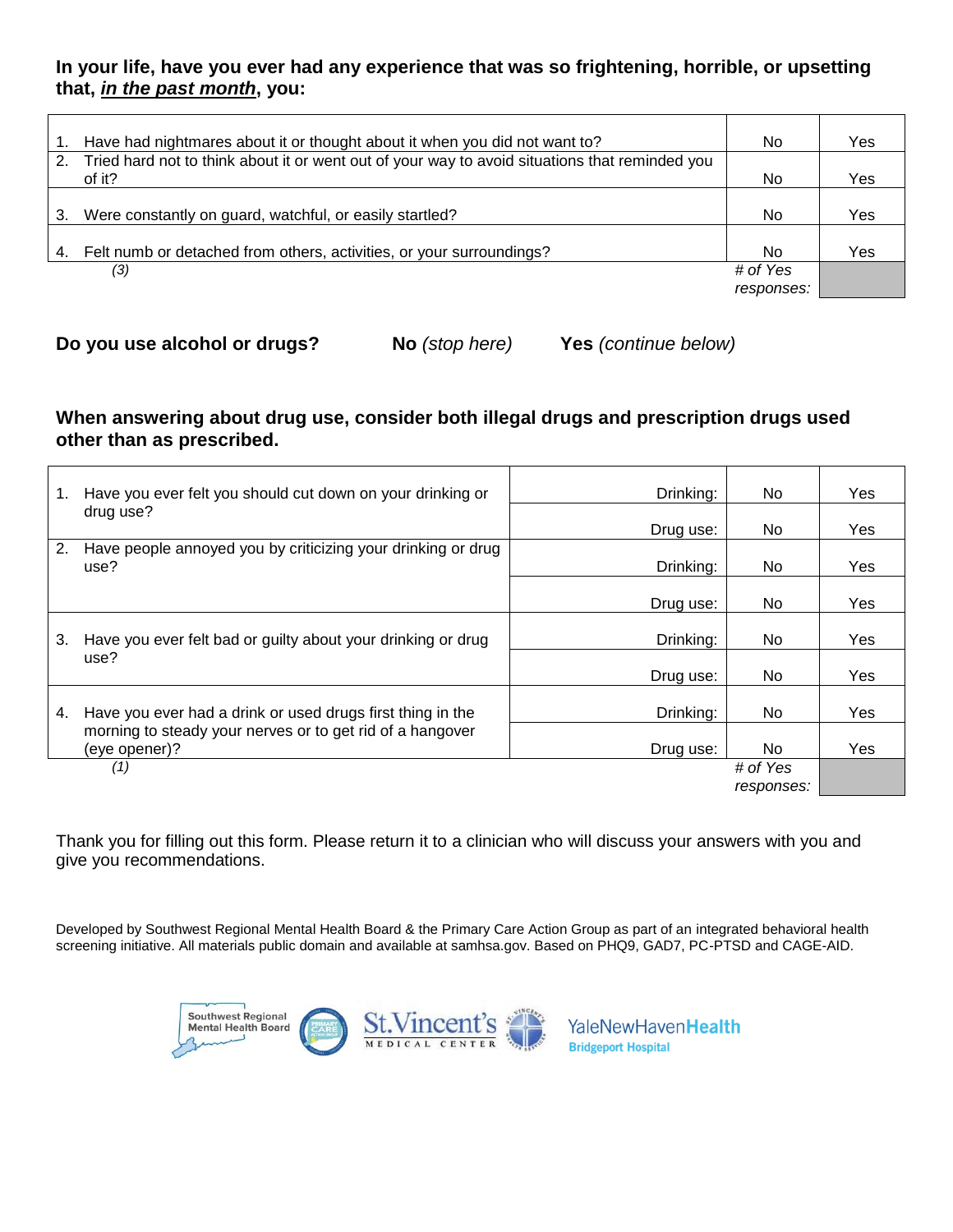#### **In your life, have you ever had any experience that was so frightening, horrible, or upsetting that,** *in the past month***, you:**

|    | Have had nightmares about it or thought about it when you did not want to?                     | No.        | Yes |
|----|------------------------------------------------------------------------------------------------|------------|-----|
| 2. | Tried hard not to think about it or went out of your way to avoid situations that reminded you |            |     |
|    | of it?                                                                                         | No.        | Yes |
|    |                                                                                                |            |     |
| 3. | Were constantly on guard, watchful, or easily startled?                                        | No         | Yes |
|    |                                                                                                |            |     |
| 4. | Felt numb or detached from others, activities, or your surroundings?                           | No.        | Yes |
|    | (3)                                                                                            | # of Yes   |     |
|    |                                                                                                | responses: |     |
|    |                                                                                                |            |     |

**Do you use alcohol or drugs? No** *(stop here)* **Yes** *(continue below)*

#### **When answering about drug use, consider both illegal drugs and prescription drugs used other than as prescribed.**

| 1. | Have you ever felt you should cut down on your drinking or                 | Drinking: | No.                    | Yes |
|----|----------------------------------------------------------------------------|-----------|------------------------|-----|
|    | drug use?                                                                  | Drug use: | No.                    | Yes |
| 2. | Have people annoyed you by criticizing your drinking or drug<br>use?       | Drinking: | No.                    | Yes |
|    |                                                                            | Drug use: | No.                    | Yes |
| 3. | Have you ever felt bad or guilty about your drinking or drug               | Drinking: | No.                    | Yes |
|    | use?                                                                       | Drug use: | No.                    | Yes |
| 4. | Have you ever had a drink or used drugs first thing in the                 | Drinking: | No.                    | Yes |
|    | morning to steady your nerves or to get rid of a hangover<br>(eye opener)? | Drug use: | No.                    | Yes |
|    | (1)                                                                        |           | # of Yes<br>responses: |     |

Thank you for filling out this form. Please return it to a clinician who will discuss your answers with you and give you recommendations.

Developed by Southwest Regional Mental Health Board & the Primary Care Action Group as part of an integrated behavioral health screening initiative. All materials public domain and available at samhsa.gov. Based on PHQ9, GAD7, PC-PTSD and CAGE-AID.

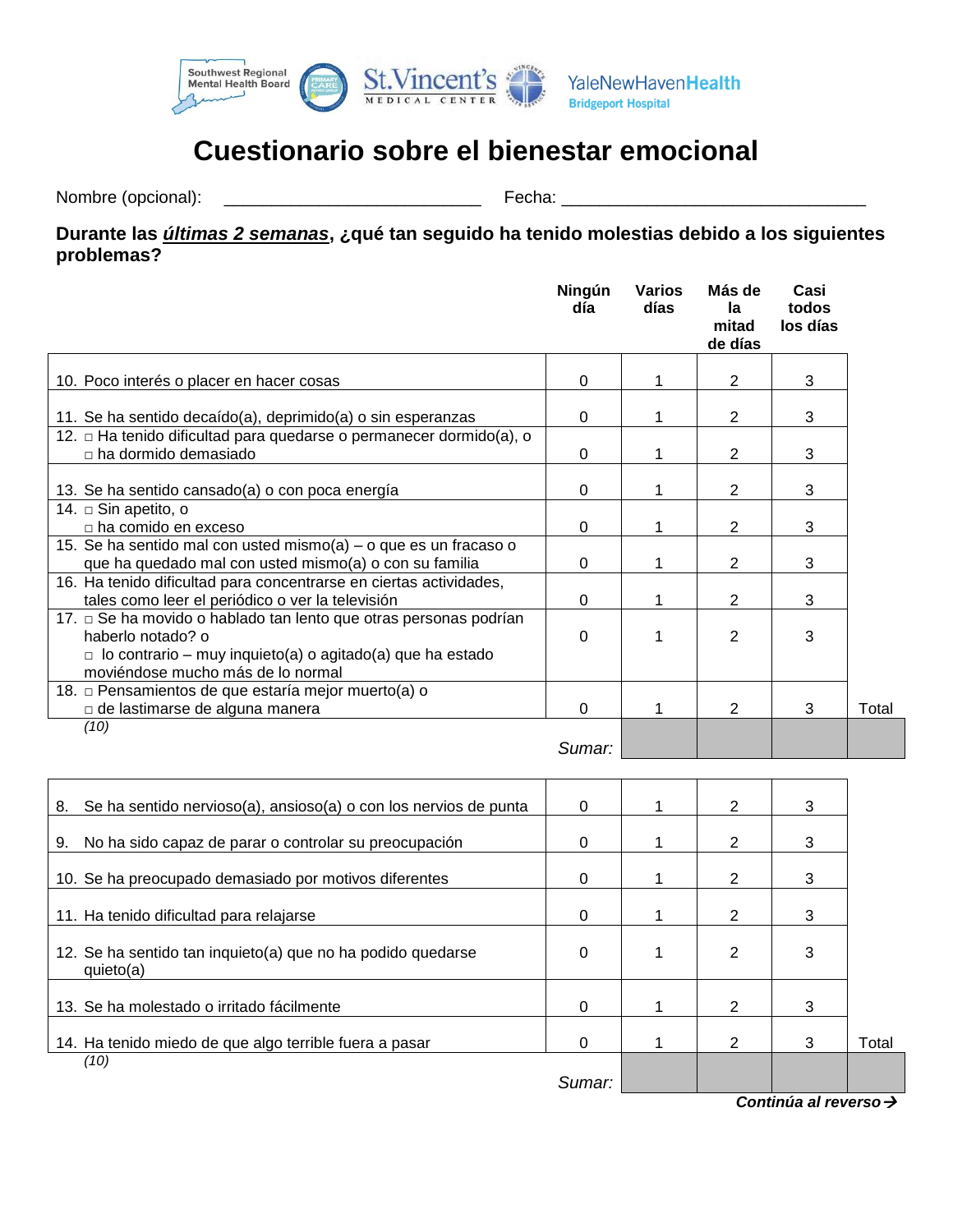

# **Cuestionario sobre el bienestar emocional**

Nombre (opcional): \_\_\_\_\_\_\_\_\_\_\_\_\_\_\_\_\_\_\_\_\_\_\_\_\_\_\_ Fecha: \_\_\_\_\_\_\_\_\_\_\_\_\_\_\_\_\_\_\_\_\_\_\_\_\_\_\_\_\_\_\_\_

#### **Durante las** *últimas 2 semanas***, ¿qué tan seguido ha tenido molestias debido a los siguientes problemas?**

|                                                                                                                                                                                                 | Ningún<br>día | Varios<br>días | Más de<br>la<br>mitad<br>de días | Casi<br>todos<br>los días |       |
|-------------------------------------------------------------------------------------------------------------------------------------------------------------------------------------------------|---------------|----------------|----------------------------------|---------------------------|-------|
|                                                                                                                                                                                                 |               |                |                                  |                           |       |
| 10. Poco interés o placer en hacer cosas                                                                                                                                                        | 0             |                | 2                                | 3                         |       |
| 11. Se ha sentido decaído(a), deprimido(a) o sin esperanzas                                                                                                                                     | 0             |                | 2                                | 3                         |       |
| 12. □ Ha tenido dificultad para quedarse o permanecer dormido(a), o                                                                                                                             |               |                |                                  |                           |       |
| $\Box$ ha dormido demasiado                                                                                                                                                                     | $\Omega$      |                | $\overline{2}$                   | 3                         |       |
| 13. Se ha sentido cansado(a) o con poca energía                                                                                                                                                 | 0             |                | 2                                | 3                         |       |
| 14. □ Sin apetito, o                                                                                                                                                                            |               |                |                                  |                           |       |
| $\Box$ ha comido en exceso                                                                                                                                                                      | $\Omega$      |                | 2                                | 3                         |       |
| 15. Se ha sentido mal con usted mismo(a) – o que es un fracaso o                                                                                                                                |               |                |                                  |                           |       |
| que ha quedado mal con usted mismo(a) o con su familia                                                                                                                                          | 0             |                | 2                                | 3                         |       |
| 16. Ha tenido dificultad para concentrarse en ciertas actividades,                                                                                                                              |               |                |                                  |                           |       |
| tales como leer el periódico o ver la televisión                                                                                                                                                | $\Omega$      |                | $\overline{2}$                   | 3                         |       |
| 17. □ Se ha movido o hablado tan lento que otras personas podrían<br>haberlo notado? o<br>$\Box$ lo contrario – muy inquieto(a) o agitado(a) que ha estado<br>moviéndose mucho más de lo normal | $\Omega$      |                | 2                                | 3                         |       |
| 18. □ Pensamientos de que estaría mejor muerto(a) o                                                                                                                                             |               |                |                                  |                           |       |
| □ de lastimarse de alguna manera                                                                                                                                                                | $\Omega$      |                | 2                                | 3                         | Total |
| (10)                                                                                                                                                                                            |               |                |                                  |                           |       |
|                                                                                                                                                                                                 | Sumar:        |                |                                  |                           |       |

| Se ha sentido nervioso(a), ansioso(a) o con los nervios de punta<br>8.   | 0      | $\mathcal{P}$ | 3 |       |
|--------------------------------------------------------------------------|--------|---------------|---|-------|
| No ha sido capaz de parar o controlar su preocupación<br>9.              | 0      | 2             | 3 |       |
| 10. Se ha preocupado demasiado por motivos diferentes                    | 0      | 2             | 3 |       |
| 11. Ha tenido dificultad para relajarse                                  | 0      | 2             | 3 |       |
| 12. Se ha sentido tan inquieto(a) que no ha podido quedarse<br>quieto(a) | 0      | 2             | 3 |       |
| 13. Se ha molestado o irritado fácilmente                                | 0      | 2             | 3 |       |
| 14. Ha tenido miedo de que algo terrible fuera a pasar                   | 0      | 2             | 3 | Total |
| (10)                                                                     | Sumar: |               |   |       |

*Continúa al reverso*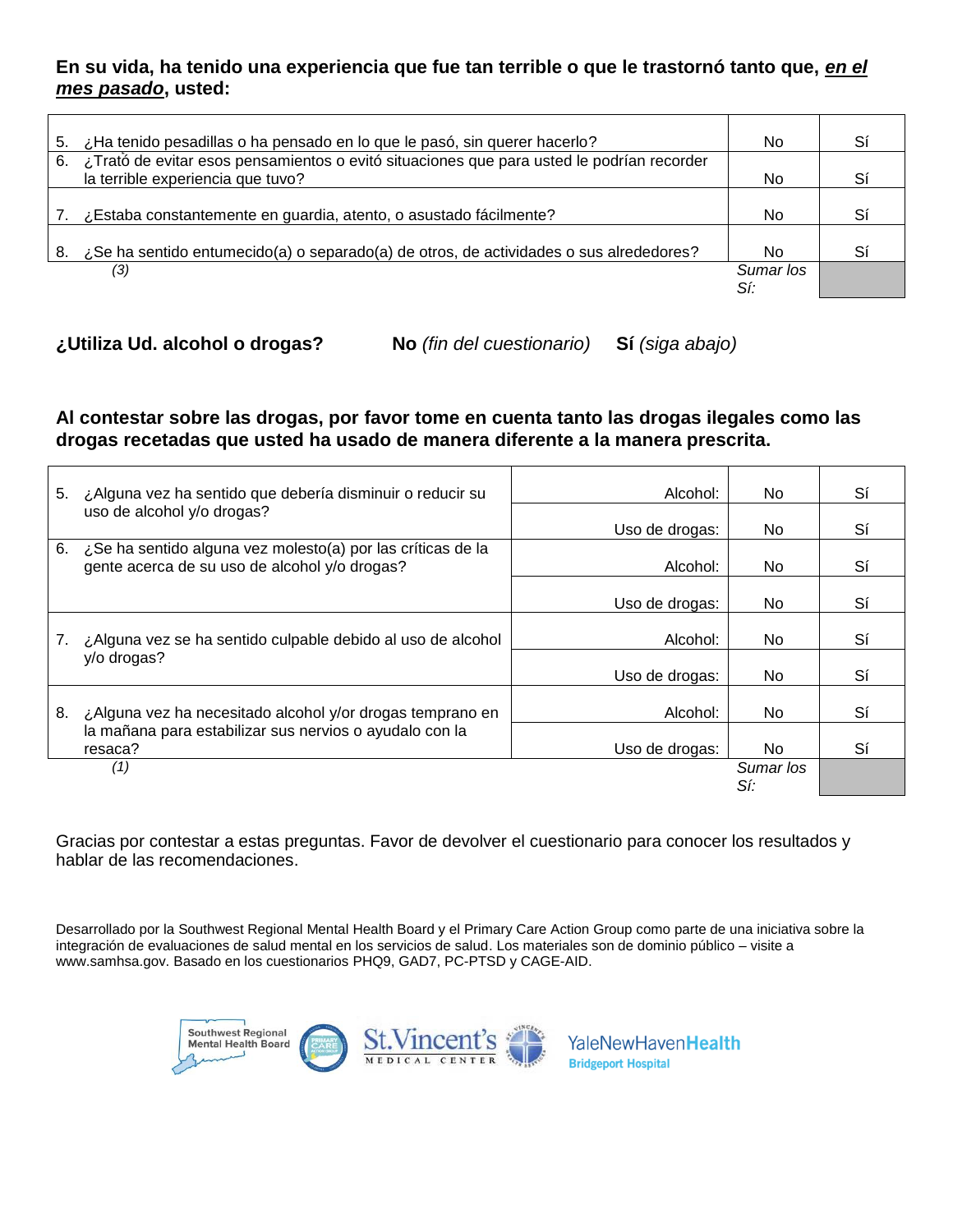#### **En su vida, ha tenido una experiencia que fue tan terrible o que le trastornó tanto que,** *en el mes pasado***, usted:**

| 5.  | ¿Ha tenido pesadillas o ha pensado en lo que le pasó, sin querer hacerlo?                                                      | No.              | Sí |
|-----|--------------------------------------------------------------------------------------------------------------------------------|------------------|----|
| 6.  | ¿Trató de evitar esos pensamientos o evitó situaciones que para usted le podrían recorder<br>la terrible experiencia que tuvo? | No.              | Sí |
|     | ¿Estaba constantemente en guardia, atento, o asustado fácilmente?                                                              | No.              | Sí |
| -8. | ¿Se ha sentido entumecido(a) o separado(a) de otros, de actividades o sus alrededores?                                         | No               | Sí |
|     | (3)                                                                                                                            | Sumar los<br>Sí: |    |

**¿Utiliza Ud. alcohol o drogas? No** *(fin del cuestionario)* **Sí** *(siga abajo)*

#### **Al contestar sobre las drogas, por favor tome en cuenta tanto las drogas ilegales como las drogas recetadas que usted ha usado de manera diferente a la manera prescrita.**

| 5. | ¿Alguna vez ha sentido que debería disminuir o reducir su                                                    | Alcohol:       | No.              | Sí |
|----|--------------------------------------------------------------------------------------------------------------|----------------|------------------|----|
|    | uso de alcohol y/o drogas?                                                                                   | Uso de drogas: | No.              | Sí |
| 6. | ¿Se ha sentido alguna vez molesto(a) por las críticas de la<br>gente acerca de su uso de alcohol y/o drogas? | Alcohol:       | No.              | Sí |
|    |                                                                                                              | Uso de drogas: | No.              | Sí |
|    | ¿Alguna vez se ha sentido culpable debido al uso de alcohol                                                  | Alcohol:       | No.              | Sí |
|    | y/o drogas?                                                                                                  | Uso de drogas: | No.              | Sí |
| 8. | ¿Alguna vez ha necesitado alcohol y/or drogas temprano en                                                    | Alcohol:       | No.              | Sí |
|    | la mañana para estabilizar sus nervios o ayudalo con la<br>resaca?                                           | Uso de drogas: | No.              | Sí |
|    | (1)                                                                                                          |                | Sumar los<br>Sí: |    |

Gracias por contestar a estas preguntas. Favor de devolver el cuestionario para conocer los resultados y hablar de las recomendaciones.

Desarrollado por la Southwest Regional Mental Health Board y el Primary Care Action Group como parte de una iniciativa sobre la integración de evaluaciones de salud mental en los servicios de salud. Los materiales son de dominio público – visite a www.samhsa.gov. Basado en los cuestionarios PHQ9, GAD7, PC-PTSD y CAGE-AID.

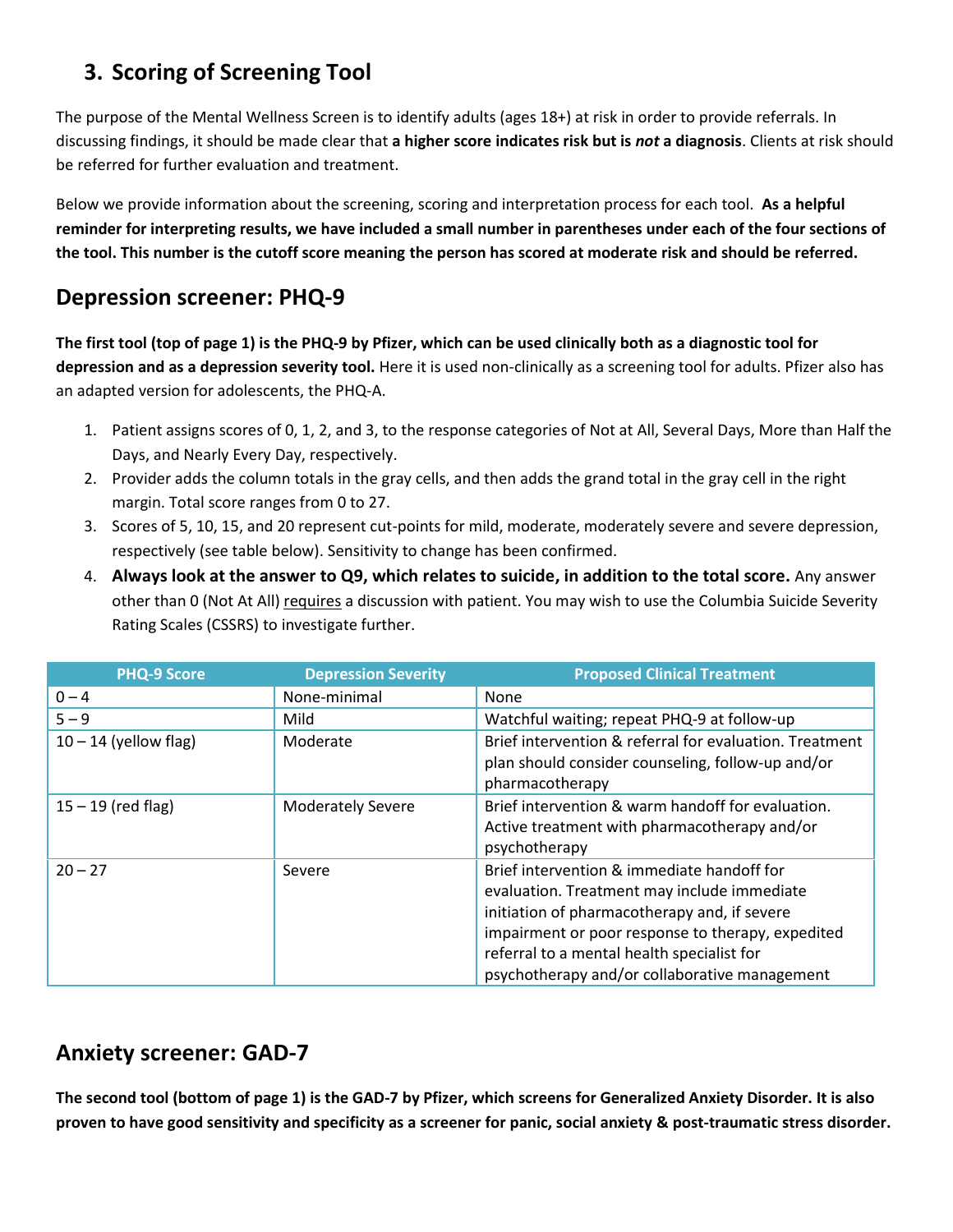# **3. Scoring of Screening Tool**

The purpose of the Mental Wellness Screen is to identify adults (ages 18+) at risk in order to provide referrals. In discussing findings, it should be made clear that **a higher score indicates risk but is** *not* **a diagnosis**. Clients at risk should be referred for further evaluation and treatment.

Below we provide information about the screening, scoring and interpretation process for each tool. **As a helpful reminder for interpreting results, we have included a small number in parentheses under each of the four sections of the tool. This number is the cutoff score meaning the person has scored at moderate risk and should be referred.**

### **Depression screener: PHQ-9**

**The first tool (top of page 1) is the PHQ-9 by Pfizer, which can be used clinically both as a diagnostic tool for depression and as a depression severity tool.** Here it is used non-clinically as a screening tool for adults. Pfizer also has an adapted version for adolescents, the PHQ-A.

- 1. Patient assigns scores of 0, 1, 2, and 3, to the response categories of Not at All, Several Days, More than Half the Days, and Nearly Every Day, respectively.
- 2. Provider adds the column totals in the gray cells, and then adds the grand total in the gray cell in the right margin. Total score ranges from 0 to 27.
- 3. Scores of 5, 10, 15, and 20 represent cut-points for mild, moderate, moderately severe and severe depression, respectively (see table below). Sensitivity to change has been confirmed.
- 4. **Always look at the answer to Q9, which relates to suicide, in addition to the total score.** Any answer other than 0 (Not At All) requires a discussion with patient. You may wish to use the Columbia Suicide Severity Rating Scales (CSSRS) to investigate further.

| <b>PHQ-9 Score</b>      | <b>Depression Severity</b> | <b>Proposed Clinical Treatment</b>                      |
|-------------------------|----------------------------|---------------------------------------------------------|
| $0 - 4$                 | None-minimal               | None                                                    |
| $5 - 9$                 | Mild                       | Watchful waiting; repeat PHQ-9 at follow-up             |
| $10 - 14$ (yellow flag) | Moderate                   | Brief intervention & referral for evaluation. Treatment |
|                         |                            | plan should consider counseling, follow-up and/or       |
|                         |                            | pharmacotherapy                                         |
| $15 - 19$ (red flag)    | <b>Moderately Severe</b>   | Brief intervention & warm handoff for evaluation.       |
|                         |                            | Active treatment with pharmacotherapy and/or            |
|                         |                            | psychotherapy                                           |
| $20 - 27$               | Severe                     | Brief intervention & immediate handoff for              |
|                         |                            | evaluation. Treatment may include immediate             |
|                         |                            | initiation of pharmacotherapy and, if severe            |
|                         |                            | impairment or poor response to therapy, expedited       |
|                         |                            | referral to a mental health specialist for              |
|                         |                            | psychotherapy and/or collaborative management           |

### **Anxiety screener: GAD-7**

**The second tool (bottom of page 1) is the GAD-7 by Pfizer, which screens for Generalized Anxiety Disorder. It is also proven to have good sensitivity and specificity as a screener for panic, social anxiety & post-traumatic stress disorder.**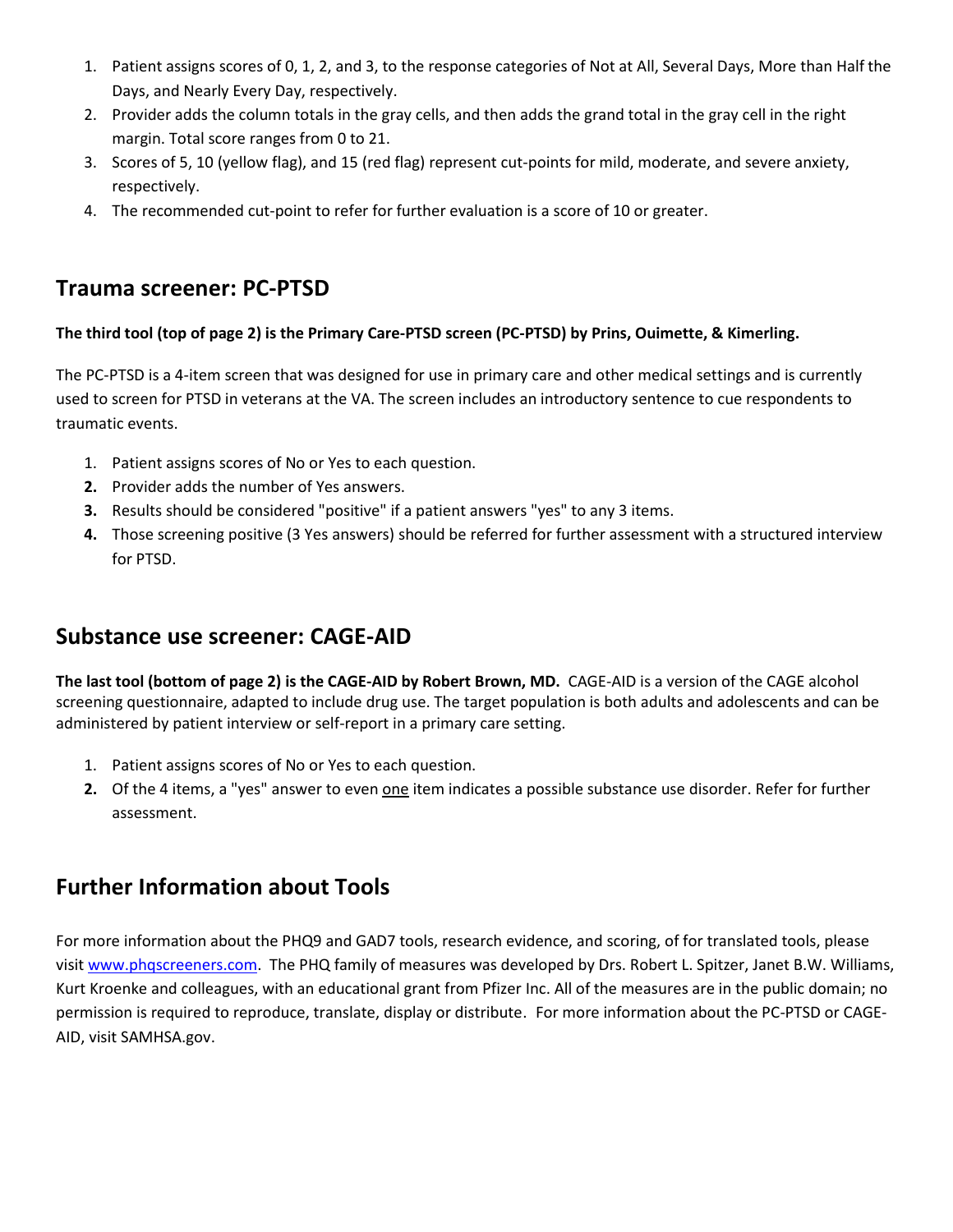- 1. Patient assigns scores of 0, 1, 2, and 3, to the response categories of Not at All, Several Days, More than Half the Days, and Nearly Every Day, respectively.
- 2. Provider adds the column totals in the gray cells, and then adds the grand total in the gray cell in the right margin. Total score ranges from 0 to 21.
- 3. Scores of 5, 10 (yellow flag), and 15 (red flag) represent cut-points for mild, moderate, and severe anxiety, respectively.
- 4. The recommended cut-point to refer for further evaluation is a score of 10 or greater.

### **Trauma screener: PC-PTSD**

#### **The third tool (top of page 2) is the Primary Care-PTSD screen (PC-PTSD) by Prins, Ouimette, & Kimerling.**

The PC-PTSD is a 4-item screen that was designed for use in primary care and other medical settings and is currently used to screen for PTSD in veterans at the VA. The screen includes an introductory sentence to cue respondents to traumatic events.

- 1. Patient assigns scores of No or Yes to each question.
- **2.** Provider adds the number of Yes answers.
- **3.** Results should be considered "positive" if a patient answers "yes" to any 3 items.
- **4.** Those screening positive (3 Yes answers) should be referred for further assessment with a structured interview for PTSD.

### **Substance use screener: CAGE-AID**

**The last tool (bottom of page 2) is the CAGE-AID by Robert Brown, MD.** CAGE-AID is a version of the CAGE alcohol screening questionnaire, adapted to include drug use. The target population is both adults and adolescents and can be administered by patient interview or self-report in a primary care setting.

- 1. Patient assigns scores of No or Yes to each question.
- **2.** Of the 4 items, a "yes" answer to even one item indicates a possible substance use disorder. Refer for further assessment.

### **Further Information about Tools**

For more information about the PHQ9 and GAD7 tools, research evidence, and scoring, of for translated tools, please visi[t www.phqscreeners.com.](http://www.phqscreeners.com/) The PHQ family of measures was developed by Drs. Robert L. Spitzer, Janet B.W. Williams, Kurt Kroenke and colleagues, with an educational grant from Pfizer Inc. All of the measures are in the public domain; no permission is required to reproduce, translate, display or distribute. For more information about the PC-PTSD or CAGE-AID, visit SAMHSA.gov.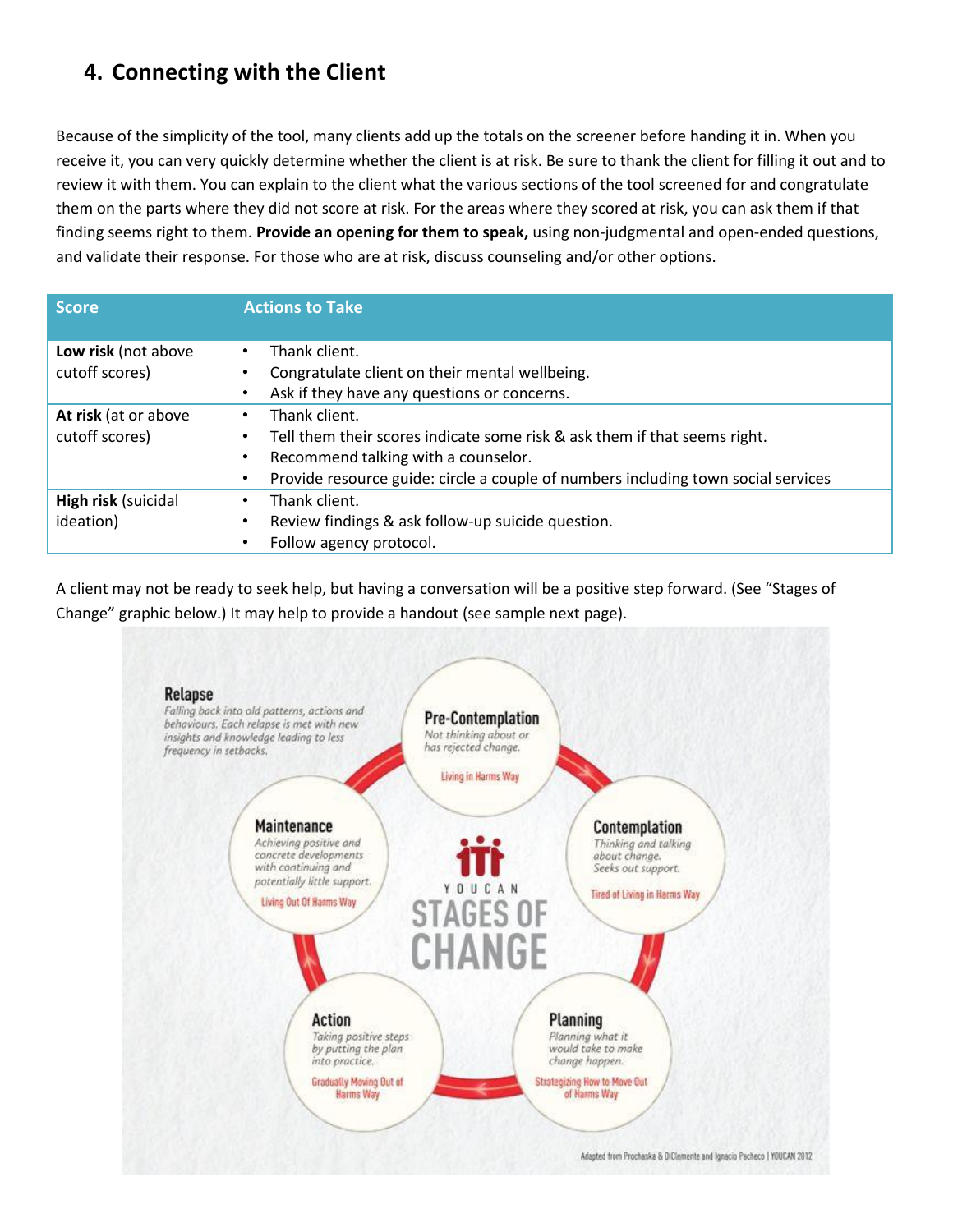## **4. Connecting with the Client**

Because of the simplicity of the tool, many clients add up the totals on the screener before handing it in. When you receive it, you can very quickly determine whether the client is at risk. Be sure to thank the client for filling it out and to review it with them. You can explain to the client what the various sections of the tool screened for and congratulate them on the parts where they did not score at risk. For the areas where they scored at risk, you can ask them if that finding seems right to them. **Provide an opening for them to speak,** using non-judgmental and open-ended questions, and validate their response. For those who are at risk, discuss counseling and/or other options.

| <b>Score</b>                          | <b>Actions to Take</b>                                                                         |
|---------------------------------------|------------------------------------------------------------------------------------------------|
| Low risk (not above<br>cutoff scores) | Thank client.<br>$\bullet$<br>Congratulate client on their mental wellbeing.<br>٠              |
|                                       | Ask if they have any questions or concerns.<br>$\bullet$                                       |
| At risk (at or above                  | Thank client.<br>$\bullet$                                                                     |
| cutoff scores)                        | Tell them their scores indicate some risk & ask them if that seems right.<br>$\bullet$         |
|                                       | Recommend talking with a counselor.<br>$\bullet$                                               |
|                                       | Provide resource guide: circle a couple of numbers including town social services<br>$\bullet$ |
| High risk (suicidal                   | Thank client.<br>$\bullet$                                                                     |
| ideation)                             | Review findings & ask follow-up suicide question.<br>$\bullet$                                 |
|                                       | Follow agency protocol.                                                                        |

A client may not be ready to seek help, but having a conversation will be a positive step forward. (See "Stages of Change" graphic below.) It may help to provide a handout (see sample next page).

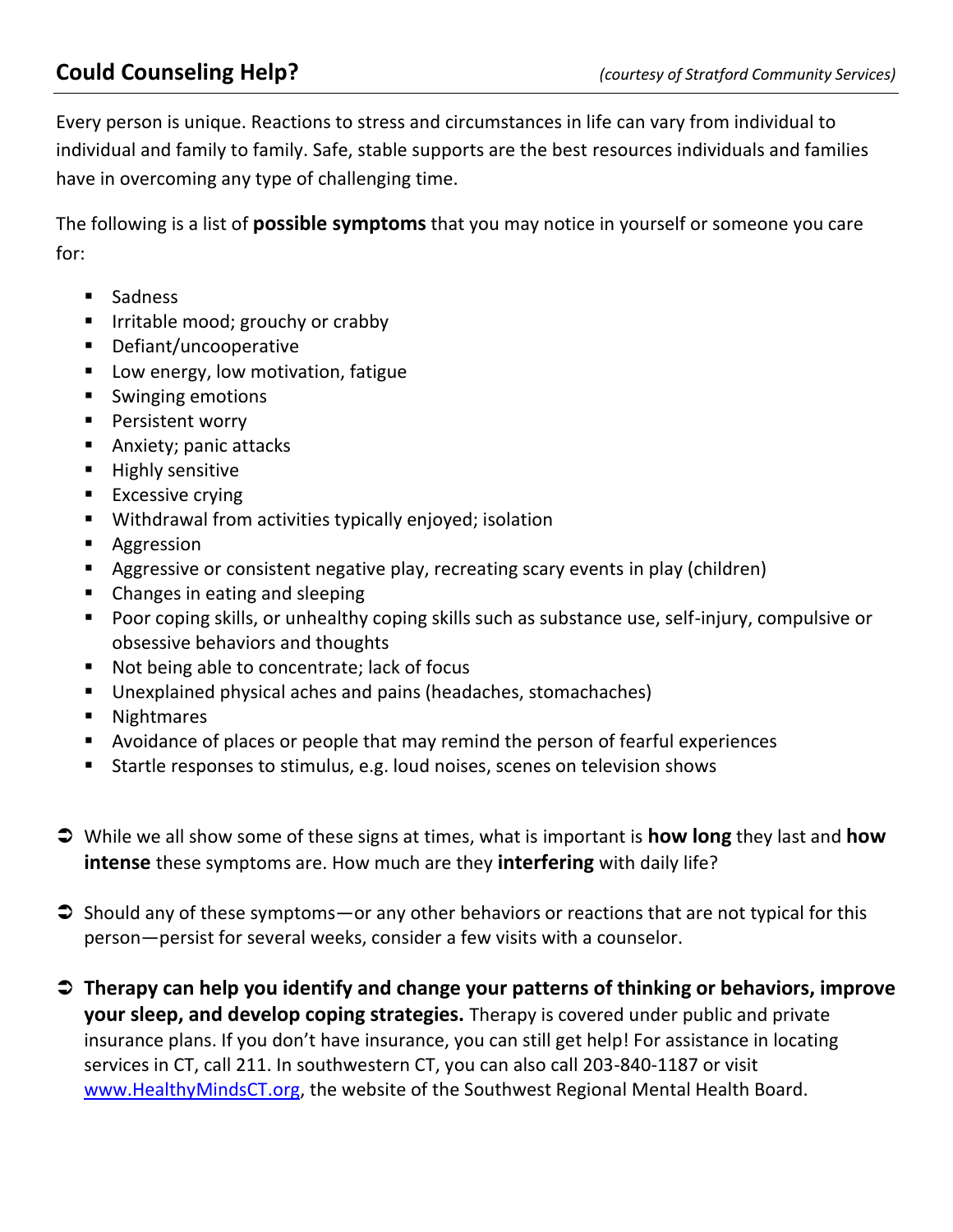Every person is unique. Reactions to stress and circumstances in life can vary from individual to individual and family to family. Safe, stable supports are the best resources individuals and families have in overcoming any type of challenging time.

The following is a list of **possible symptoms** that you may notice in yourself or someone you care for:

- **Sadness**
- **IF Irritable mood; grouchy or crabby**
- Defiant/uncooperative
- **Low energy, low motivation, fatigue**
- Swinging emotions
- **Persistent worry**
- **Anxiety; panic attacks**
- **Highly sensitive**
- **Excessive crying**
- Withdrawal from activities typically enjoyed; isolation
- **Aggression**
- Aggressive or consistent negative play, recreating scary events in play (children)
- Changes in eating and sleeping
- **Poor coping skills, or unhealthy coping skills such as substance use, self-injury, compulsive or** obsessive behaviors and thoughts
- Not being able to concentrate; lack of focus
- Unexplained physical aches and pains (headaches, stomachaches)
- **Nightmares**
- Avoidance of places or people that may remind the person of fearful experiences
- **Startle responses to stimulus, e.g. loud noises, scenes on television shows**
- While we all show some of these signs at times, what is important is **how long** they last and **how intense** these symptoms are. How much are they **interfering** with daily life?
- $\supset$  Should any of these symptoms—or any other behaviors or reactions that are not typical for this person—persist for several weeks, consider a few visits with a counselor.
- **Therapy can help you identify and change your patterns of thinking or behaviors, improve your sleep, and develop coping strategies.** Therapy is covered under public and private insurance plans. If you don't have insurance, you can still get help! For assistance in locating services in CT, call 211. In southwestern CT, you can also call 203-840-1187 or visit [www.HealthyMindsCT.org,](http://www.healthymindsct.org/) the website of the Southwest Regional Mental Health Board.